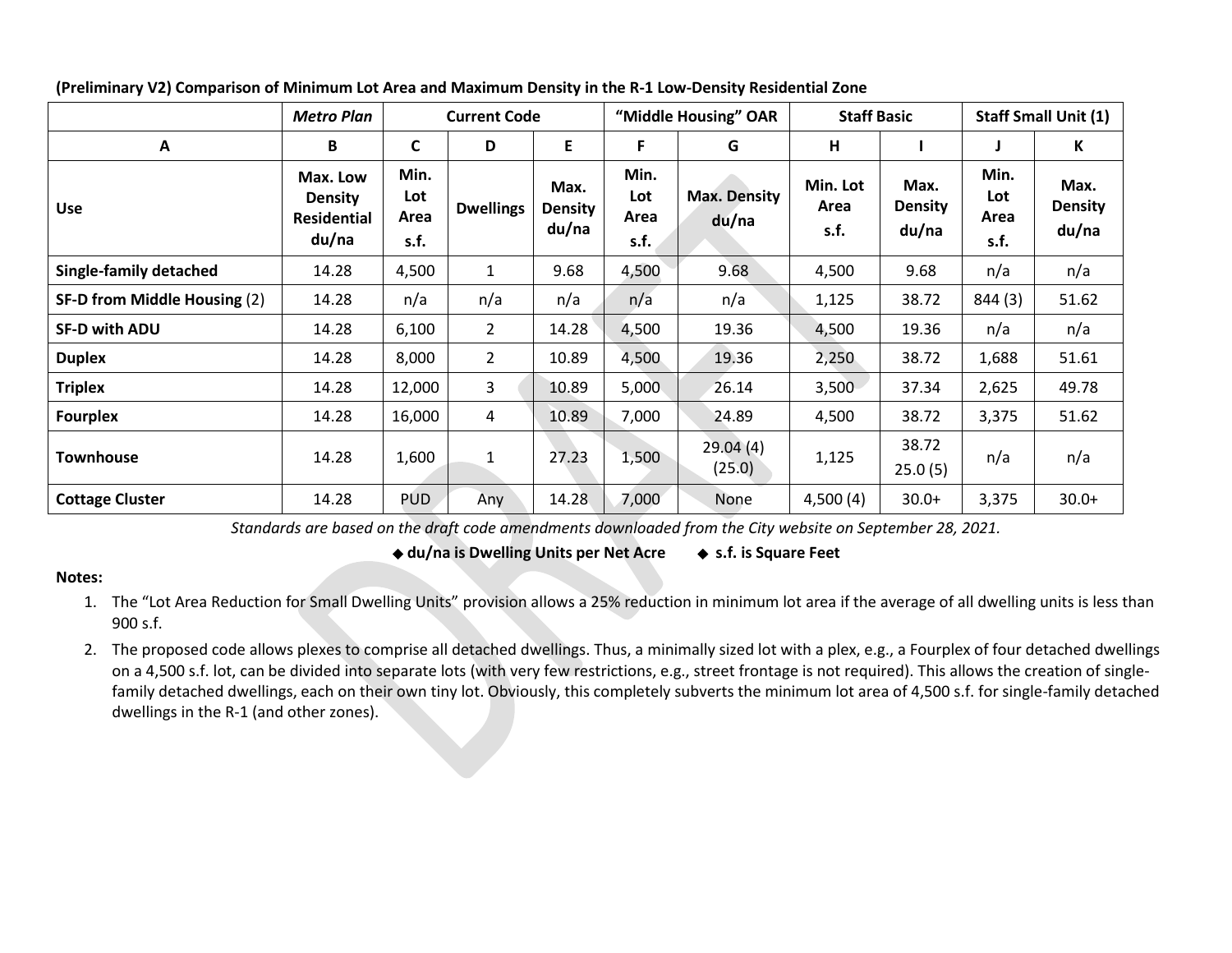|                               | <b>Metro Plan</b>                                         | <b>Current Code</b>         |                  |                                 | "Middle Housing" OAR        |                              | <b>Staff Basic</b>       |                                 | <b>Staff Small Unit (1)</b> |                                 |
|-------------------------------|-----------------------------------------------------------|-----------------------------|------------------|---------------------------------|-----------------------------|------------------------------|--------------------------|---------------------------------|-----------------------------|---------------------------------|
| A                             | B                                                         | C                           | D                | E.                              | F.                          | G                            | H                        |                                 |                             | К                               |
| <b>Use</b>                    | Max. Low<br><b>Density</b><br><b>Residential</b><br>du/na | Min.<br>Lot<br>Area<br>s.f. | <b>Dwellings</b> | Max.<br><b>Density</b><br>du/na | Min.<br>Lot<br>Area<br>s.f. | <b>Max. Density</b><br>du/na | Min. Lot<br>Area<br>s.f. | Max.<br><b>Density</b><br>du/na | Min.<br>Lot<br>Area<br>s.f. | Max.<br><b>Density</b><br>du/na |
| <b>Single-family detached</b> | 14.28                                                     | 4,500                       | $\mathbf{1}$     | 9.68                            | 4,500                       | 9.68                         | 4,500                    | 9.68                            | n/a                         | n/a                             |
| SF-D from Middle Housing (2)  | 14.28                                                     | n/a                         | n/a              | n/a                             | n/a                         | n/a                          | 1,125                    | 38.72                           | 844 (3)                     | 51.62                           |
| <b>SF-D with ADU</b>          | 14.28                                                     | 6,100                       | $\overline{2}$   | 14.28                           | 4,500                       | 19.36                        | 4,500                    | 19.36                           | n/a                         | n/a                             |
| <b>Duplex</b>                 | 14.28                                                     | 8,000                       | $\overline{2}$   | 10.89                           | 4,500                       | 19.36                        | 2,250                    | 38.72                           | 1,688                       | 51.61                           |
| <b>Triplex</b>                | 14.28                                                     | 12,000                      | 3                | 10.89                           | 5,000                       | 26.14                        | 3,500                    | 37.34                           | 2,625                       | 49.78                           |
| <b>Fourplex</b>               | 14.28                                                     | 16,000                      | $\overline{4}$   | 10.89                           | 7,000                       | 24.89                        | 4,500                    | 38.72                           | 3,375                       | 51.62                           |
| <b>Townhouse</b>              | 14.28                                                     | 1,600                       | $\mathbf{1}$     | 27.23                           | 1,500                       | 29.04(4)<br>(25.0)           | 1,125                    | 38.72<br>25.0(5)                | n/a                         | n/a                             |
| <b>Cottage Cluster</b>        | 14.28                                                     | <b>PUD</b>                  | Any              | 14.28                           | 7,000                       | None                         | 4,500(4)                 | $30.0+$                         | 3,375                       | $30.0+$                         |

**(Preliminary V2) Comparison of Minimum Lot Area and Maximum Density in the R-1 Low-Density Residential Zone**

*Standards are based on the draft code amendments downloaded from the City website on September 28, 2021.*

◆ **du/na is Dwelling Units per Net Acre** ◆ **s.f. is Square Feet**

## **Notes:**

- 1. The "Lot Area Reduction for Small Dwelling Units" provision allows a 25% reduction in minimum lot area if the average of all dwelling units is less than 900 s.f.
- 2. The proposed code allows plexes to comprise all detached dwellings. Thus, a minimally sized lot with a plex, e.g., a Fourplex of four detached dwellings on a 4,500 s.f. lot, can be divided into separate lots (with very few restrictions, e.g., street frontage is not required). This allows the creation of singlefamily detached dwellings, each on their own tiny lot. Obviously, this completely subverts the minimum lot area of 4,500 s.f. for single-family detached dwellings in the R-1 (and other zones).